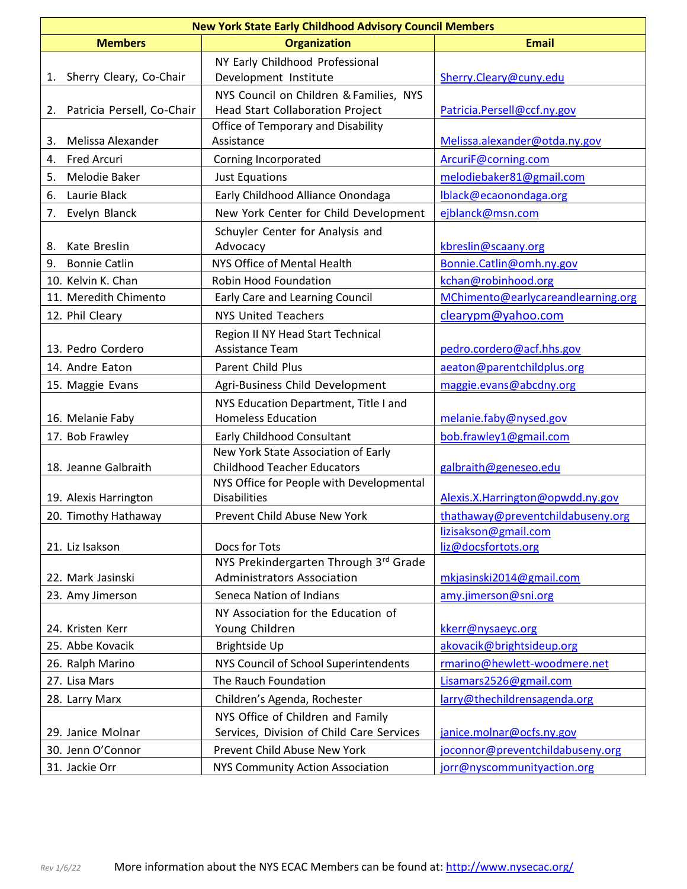| <b>New York State Early Childhood Advisory Council Members</b> |                                                                            |                                    |  |  |
|----------------------------------------------------------------|----------------------------------------------------------------------------|------------------------------------|--|--|
| <b>Members</b>                                                 | <b>Organization</b>                                                        | <b>Email</b>                       |  |  |
|                                                                | NY Early Childhood Professional                                            |                                    |  |  |
| Sherry Cleary, Co-Chair<br>1.                                  | Development Institute                                                      | Sherry.Cleary@cuny.edu             |  |  |
|                                                                | NYS Council on Children & Families, NYS                                    |                                    |  |  |
| Patricia Persell, Co-Chair<br>2.                               | Head Start Collaboration Project                                           | Patricia.Persell@ccf.ny.gov        |  |  |
|                                                                | Office of Temporary and Disability                                         |                                    |  |  |
| Melissa Alexander<br>3.                                        | Assistance                                                                 | Melissa.alexander@otda.ny.gov      |  |  |
| <b>Fred Arcuri</b><br>4.                                       | Corning Incorporated                                                       | ArcuriF@corning.com                |  |  |
| 5.<br>Melodie Baker                                            | <b>Just Equations</b>                                                      | melodiebaker81@gmail.com           |  |  |
| Laurie Black<br>6.                                             | Early Childhood Alliance Onondaga                                          | Iblack@ecaonondaga.org             |  |  |
| Evelyn Blanck<br>7.                                            | New York Center for Child Development                                      | ejblanck@msn.com                   |  |  |
|                                                                | Schuyler Center for Analysis and                                           |                                    |  |  |
| Kate Breslin<br>8.                                             | Advocacy                                                                   | kbreslin@scaany.org                |  |  |
| <b>Bonnie Catlin</b><br>9.                                     | NYS Office of Mental Health                                                | Bonnie.Catlin@omh.ny.gov           |  |  |
| 10. Kelvin K. Chan                                             | Robin Hood Foundation                                                      | kchan@robinhood.org                |  |  |
| 11. Meredith Chimento                                          | Early Care and Learning Council                                            | MChimento@earlycareandlearning.org |  |  |
| 12. Phil Cleary                                                | <b>NYS United Teachers</b>                                                 | clearypm@yahoo.com                 |  |  |
|                                                                | Region II NY Head Start Technical                                          |                                    |  |  |
| 13. Pedro Cordero                                              | Assistance Team                                                            | pedro.cordero@acf.hhs.gov          |  |  |
| 14. Andre Eaton                                                | Parent Child Plus                                                          | aeaton@parentchildplus.org         |  |  |
| 15. Maggie Evans                                               | Agri-Business Child Development                                            | maggie.evans@abcdny.org            |  |  |
|                                                                | NYS Education Department, Title I and                                      |                                    |  |  |
| 16. Melanie Faby                                               | <b>Homeless Education</b>                                                  | melanie.faby@nysed.gov             |  |  |
| 17. Bob Frawley                                                | <b>Early Childhood Consultant</b>                                          | bob.frawley1@gmail.com             |  |  |
|                                                                | New York State Association of Early                                        |                                    |  |  |
| 18. Jeanne Galbraith                                           | <b>Childhood Teacher Educators</b>                                         | galbraith@geneseo.edu              |  |  |
|                                                                | NYS Office for People with Developmental                                   |                                    |  |  |
| 19. Alexis Harrington                                          | <b>Disabilities</b>                                                        | Alexis.X.Harrington@opwdd.ny.gov   |  |  |
| 20. Timothy Hathaway                                           | Prevent Child Abuse New York                                               | thathaway@preventchildabuseny.org  |  |  |
|                                                                |                                                                            | lizisakson@gmail.com               |  |  |
| 21. Liz Isakson                                                | Docs for Tots                                                              | liz@docsfortots.org                |  |  |
| 22. Mark Jasinski                                              | NYS Prekindergarten Through 3rd Grade<br><b>Administrators Association</b> | mkjasinski2014@gmail.com           |  |  |
|                                                                |                                                                            |                                    |  |  |
| 23. Amy Jimerson                                               | Seneca Nation of Indians                                                   | amy.jimerson@sni.org               |  |  |
|                                                                | NY Association for the Education of                                        |                                    |  |  |
| 24. Kristen Kerr                                               | Young Children                                                             | kkerr@nysaeyc.org                  |  |  |
| 25. Abbe Kovacik                                               | Brightside Up                                                              | akovacik@brightsideup.org          |  |  |
| 26. Ralph Marino                                               | NYS Council of School Superintendents                                      | rmarino@hewlett-woodmere.net       |  |  |
| 27. Lisa Mars                                                  | The Rauch Foundation                                                       | Lisamars2526@gmail.com             |  |  |
| 28. Larry Marx                                                 | Children's Agenda, Rochester                                               | larry@thechildrensagenda.org       |  |  |
|                                                                | NYS Office of Children and Family                                          |                                    |  |  |
| 29. Janice Molnar                                              | Services, Division of Child Care Services                                  | janice.molnar@ocfs.ny.gov          |  |  |
| 30. Jenn O'Connor                                              | Prevent Child Abuse New York                                               | joconnor@preventchildabuseny.org   |  |  |
| 31. Jackie Orr                                                 | NYS Community Action Association                                           | jorr@nyscommunityaction.org        |  |  |